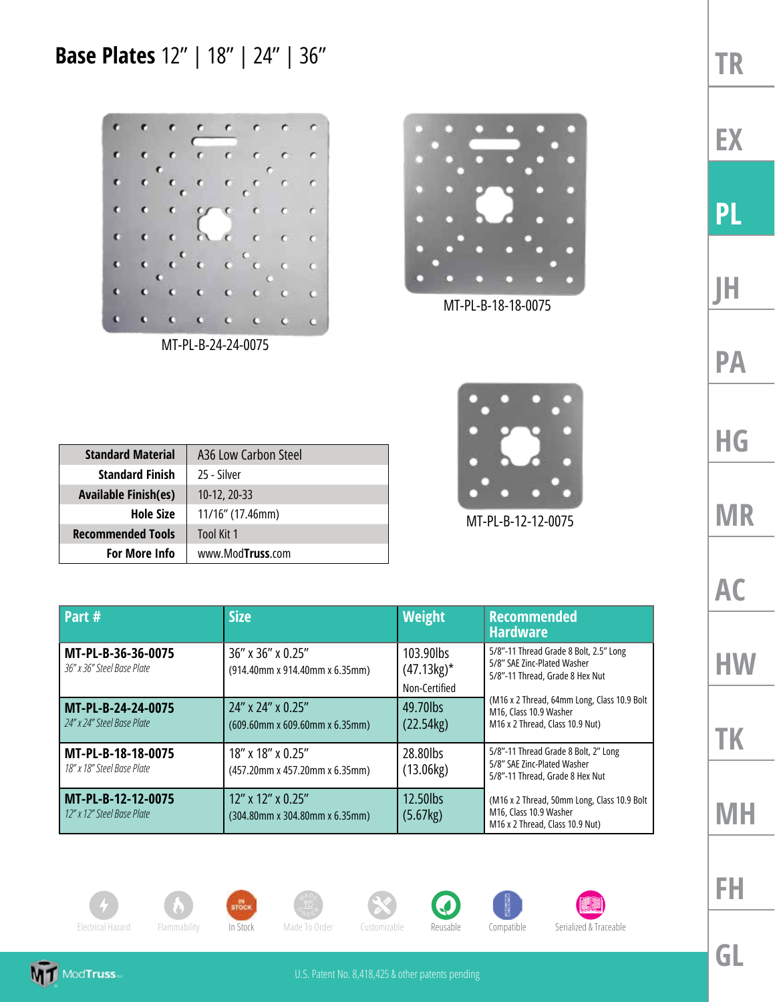**Base Plates** 12" | 18" | 24" | 36"





MT-PL-B-18-18-0075

| <b>Standard Material</b>    | A36 Low Carbon Steel |
|-----------------------------|----------------------|
| <b>Standard Finish</b>      | 25 - Silver          |
| <b>Available Finish(es)</b> | $10-12, 20-33$       |
| <b>Hole Size</b>            | 11/16" (17.46mm)     |
| <b>Recommended Tools</b>    | Tool Kit 1           |
| <b>For More Info</b>        | www.ModTruss.com     |



MT-PL-B-12-12-0075

| Part #                                           | <b>Size</b>                                               | <b>Weight</b>                               | <b>Recommended</b><br><b>Hardware</b>                                                                     |
|--------------------------------------------------|-----------------------------------------------------------|---------------------------------------------|-----------------------------------------------------------------------------------------------------------|
| MT-PL-B-36-36-0075<br>36" x 36" Steel Base Plate | $36''$ x $36''$ x 0.25"<br>(914.40mm x 914.40mm x 6.35mm) | 103.90lbs<br>$(47.13kg)^*$<br>Non-Certified | 5/8"-11 Thread Grade 8 Bolt, 2.5" Long<br>5/8" SAE Zinc-Plated Washer<br>5/8"-11 Thread, Grade 8 Hex Nut  |
| MT-PL-B-24-24-0075<br>24" x 24" Steel Base Plate | 24" x 24" x 0.25"<br>(609.60mm x 609.60mm x 6.35mm)       | 49.70lbs<br>(22.54kg)                       | (M16 x 2 Thread, 64mm Long, Class 10.9 Bolt)<br>M16, Class 10.9 Washer<br>M16 x 2 Thread, Class 10.9 Nut) |
| MT-PL-B-18-18-0075<br>18" x 18" Steel Base Plate | 18" x 18" x 0.25"<br>(457.20mm x 457.20mm x 6.35mm)       | 28.80lbs<br>(13.06kg)                       | 5/8"-11 Thread Grade 8 Bolt, 2" Long<br>5/8" SAE Zinc-Plated Washer<br>5/8"-11 Thread, Grade 8 Hex Nut    |
| MT-PL-B-12-12-0075<br>12" x 12" Steel Base Plate | $12''$ x $12''$ x 0.25"<br>(304.80mm x 304.80mm x 6.35mm) | 12.50lbs<br>(5.67kg)                        | (M16 x 2 Thread, 50mm Long, Class 10.9 Bolt)<br>M16, Class 10.9 Washer<br>M16 x 2 Thread, Class 10.9 Nut) |

















**TR EX PL JH PA HG MR AC HW**

**GL**

**FH**

**TK**

**MH**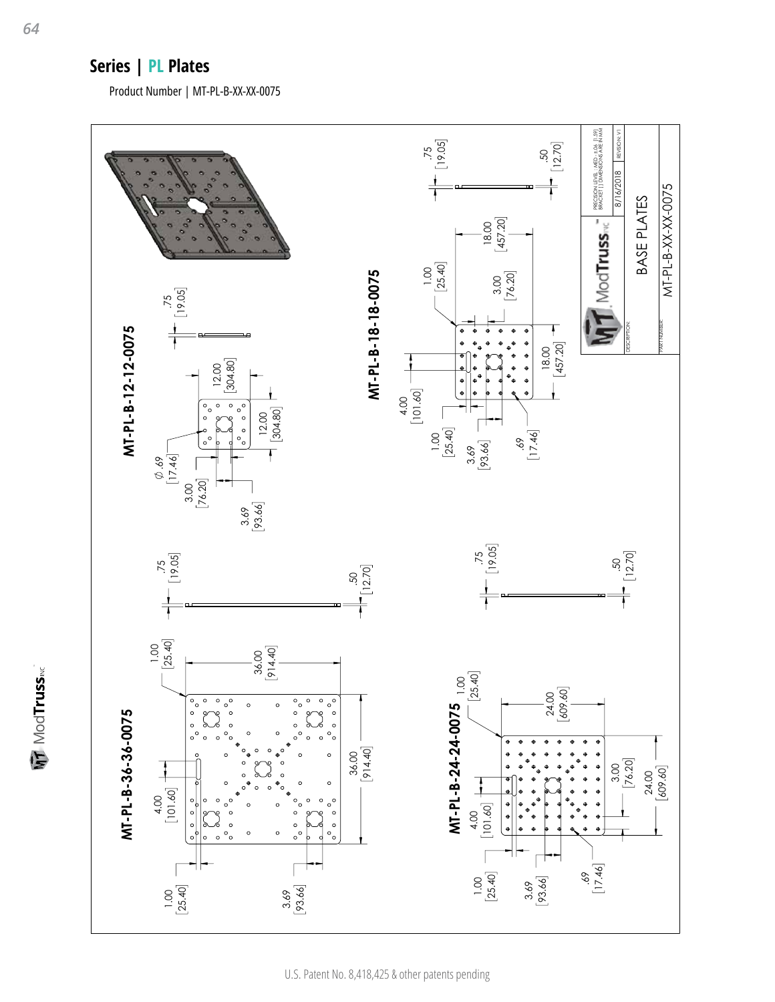## **Series | PL Plates**

Product Number | MT-PL-B-XX-XX-0075



**MT** ModTruss<sub>MC</sub>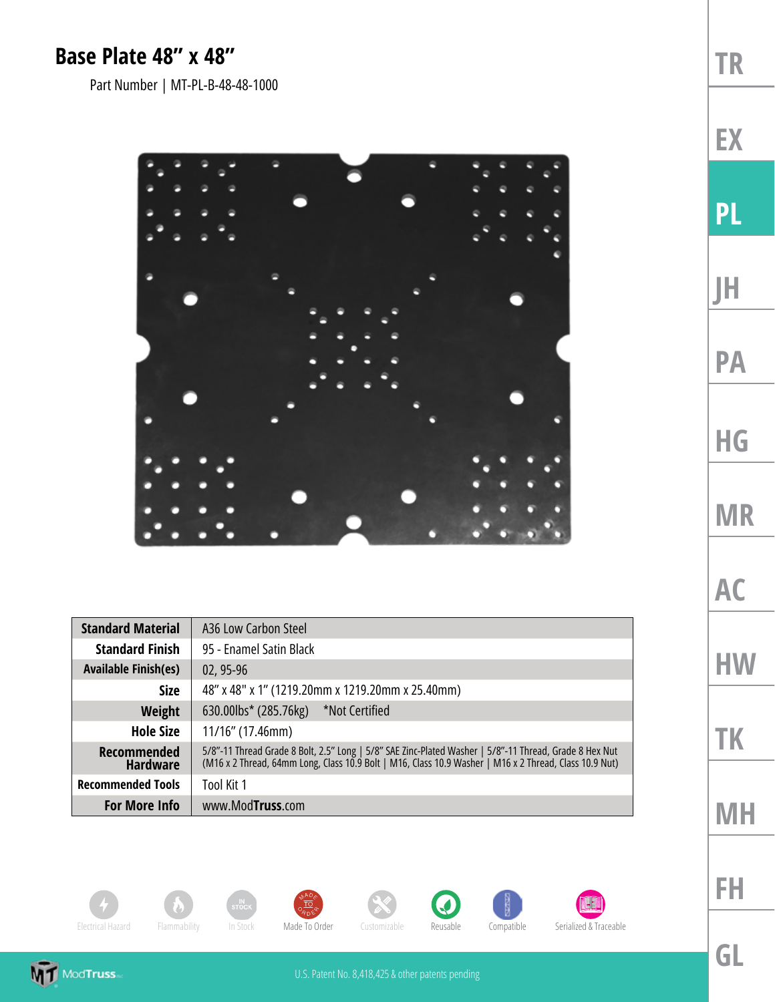## **Base Plate 48" x 48"**

Part Number | MT-PL-B-48-48-1000



| <b>Standard Material</b>              | A36 Low Carbon Steel                                                                                                                                                                                             |  |
|---------------------------------------|------------------------------------------------------------------------------------------------------------------------------------------------------------------------------------------------------------------|--|
| <b>Standard Finish</b>                | 95 - Enamel Satin Black                                                                                                                                                                                          |  |
| <b>Available Finish(es)</b>           | 02, 95-96                                                                                                                                                                                                        |  |
| <b>Size</b>                           | 48" x 48" x 1" (1219.20mm x 1219.20mm x 25.40mm)                                                                                                                                                                 |  |
| <b>Weight</b>                         | *Not Certified<br>630.00lbs* (285.76kg)                                                                                                                                                                          |  |
| <b>Hole Size</b>                      | $11/16$ " (17.46mm)                                                                                                                                                                                              |  |
| <b>Recommended</b><br><b>Hardware</b> | 5/8"-11 Thread Grade 8 Bolt, 2.5" Long   5/8" SAE Zinc-Plated Washer   5/8"-11 Thread, Grade 8 Hex Nut<br>(M16 x 2 Thread, 64mm Long, Class 10.9 Bolt   M16, Class 10.9 Washer   M16 x 2 Thread, Class 10.9 Nut) |  |
| <b>Recommended Tools</b>              | Tool Kit 1                                                                                                                                                                                                       |  |
| <b>For More Info</b>                  | www.ModTruss.com                                                                                                                                                                                                 |  |

















**EX**

**PL**

**JH**

**PA**

**HG**

**MR**

**AC**

**HW**

**TK**

**MH**



**GL**

**FH**